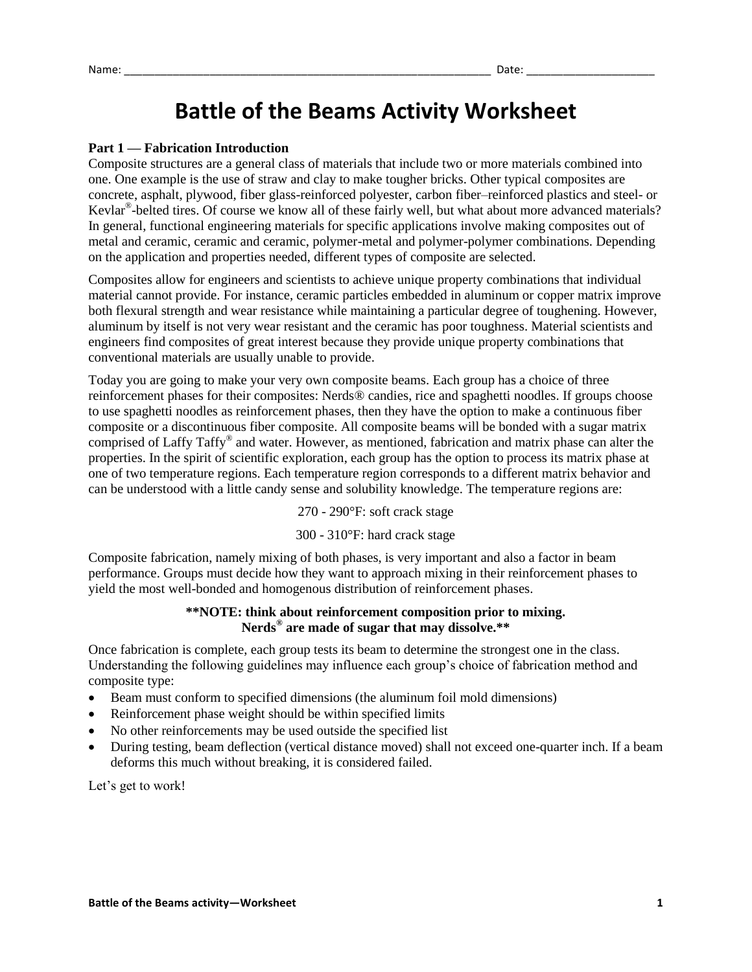# **Battle of the Beams Activity Worksheet**

# **Part 1 — Fabrication Introduction**

Composite structures are a general class of materials that include two or more materials combined into one. One example is the use of straw and clay to make tougher bricks. Other typical composites are concrete, asphalt, plywood, fiber glass-reinforced polyester, carbon fiber–reinforced plastics and steel- or Kevlar® -belted tires. Of course we know all of these fairly well, but what about more advanced materials? In general, functional engineering materials for specific applications involve making composites out of metal and ceramic, ceramic and ceramic, polymer-metal and polymer-polymer combinations. Depending on the application and properties needed, different types of composite are selected.

Composites allow for engineers and scientists to achieve unique property combinations that individual material cannot provide. For instance, ceramic particles embedded in aluminum or copper matrix improve both flexural strength and wear resistance while maintaining a particular degree of toughening. However, aluminum by itself is not very wear resistant and the ceramic has poor toughness. Material scientists and engineers find composites of great interest because they provide unique property combinations that conventional materials are usually unable to provide.

Today you are going to make your very own composite beams. Each group has a choice of three reinforcement phases for their composites: Nerds® candies, rice and spaghetti noodles. If groups choose to use spaghetti noodles as reinforcement phases, then they have the option to make a continuous fiber composite or a discontinuous fiber composite. All composite beams will be bonded with a sugar matrix comprised of Laffy Taffy® and water. However, as mentioned, fabrication and matrix phase can alter the properties. In the spirit of scientific exploration, each group has the option to process its matrix phase at one of two temperature regions. Each temperature region corresponds to a different matrix behavior and can be understood with a little candy sense and solubility knowledge. The temperature regions are:

270 - 290°F: soft crack stage

300 - 310°F: hard crack stage

Composite fabrication, namely mixing of both phases, is very important and also a factor in beam performance. Groups must decide how they want to approach mixing in their reinforcement phases to yield the most well-bonded and homogenous distribution of reinforcement phases.

#### **\*\*NOTE: think about reinforcement composition prior to mixing. Nerds® are made of sugar that may dissolve.\*\***

Once fabrication is complete, each group tests its beam to determine the strongest one in the class. Understanding the following guidelines may influence each group's choice of fabrication method and composite type:

- Beam must conform to specified dimensions (the aluminum foil mold dimensions)
- Reinforcement phase weight should be within specified limits
- No other reinforcements may be used outside the specified list
- During testing, beam deflection (vertical distance moved) shall not exceed one-quarter inch. If a beam deforms this much without breaking, it is considered failed.

Let's get to work!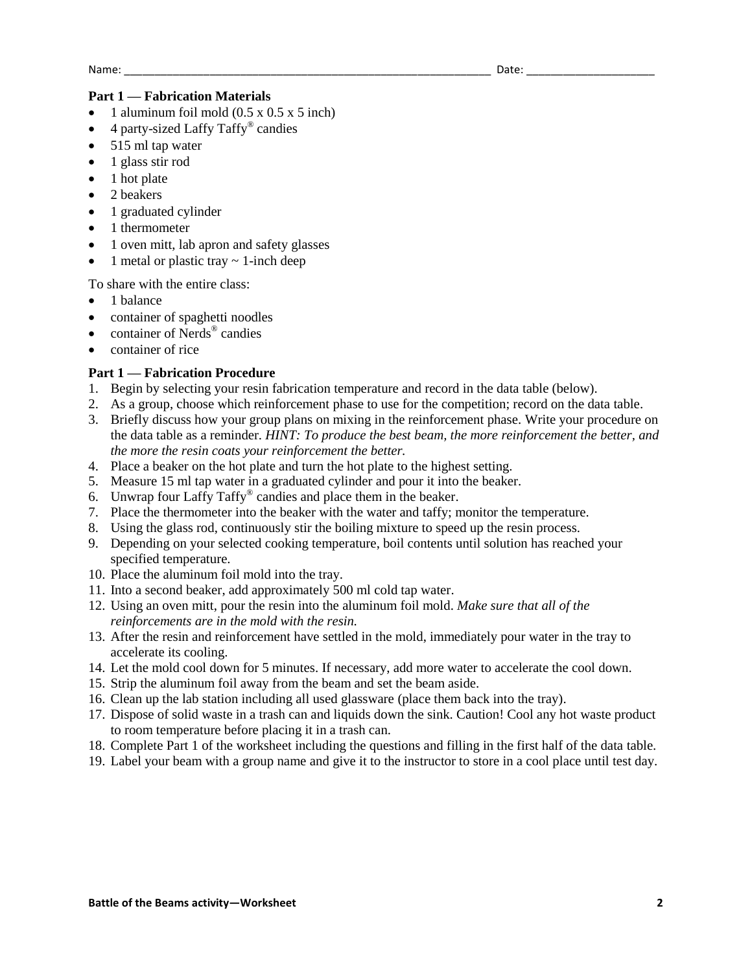### **Part 1 — Fabrication Materials**

- 1 aluminum foil mold (0.5 x 0.5 x 5 inch)
- 4 party-sized Laffy Taffy® candies
- $\bullet$  515 ml tap water
- $\bullet$  1 glass stir rod
- 1 hot plate
- 2 beakers
- 1 graduated cylinder
- 1 thermometer
- 1 oven mitt, lab apron and safety glasses
- 1 metal or plastic tray  $\sim$  1-inch deep

To share with the entire class:

- 1 balance
- container of spaghetti noodles
- container of Nerds<sup>®</sup> candies
- container of rice

#### **Part 1 — Fabrication Procedure**

- 1. Begin by selecting your resin fabrication temperature and record in the data table (below).
- 2. As a group, choose which reinforcement phase to use for the competition; record on the data table.
- 3. Briefly discuss how your group plans on mixing in the reinforcement phase. Write your procedure on the data table as a reminder. *HINT: To produce the best beam, the more reinforcement the better, and the more the resin coats your reinforcement the better.*
- 4. Place a beaker on the hot plate and turn the hot plate to the highest setting.
- 5. Measure 15 ml tap water in a graduated cylinder and pour it into the beaker.
- 6. Unwrap four Laffy Taffy® candies and place them in the beaker.
- 7. Place the thermometer into the beaker with the water and taffy; monitor the temperature.
- 8. Using the glass rod, continuously stir the boiling mixture to speed up the resin process.
- 9. Depending on your selected cooking temperature, boil contents until solution has reached your specified temperature.
- 10. Place the aluminum foil mold into the tray.
- 11. Into a second beaker, add approximately 500 ml cold tap water.
- 12. Using an oven mitt, pour the resin into the aluminum foil mold. *Make sure that all of the reinforcements are in the mold with the resin.*
- 13. After the resin and reinforcement have settled in the mold, immediately pour water in the tray to accelerate its cooling.
- 14. Let the mold cool down for 5 minutes. If necessary, add more water to accelerate the cool down.
- 15. Strip the aluminum foil away from the beam and set the beam aside.
- 16. Clean up the lab station including all used glassware (place them back into the tray).
- 17. Dispose of solid waste in a trash can and liquids down the sink. Caution! Cool any hot waste product to room temperature before placing it in a trash can.
- 18. Complete Part 1 of the worksheet including the questions and filling in the first half of the data table.
- 19. Label your beam with a group name and give it to the instructor to store in a cool place until test day.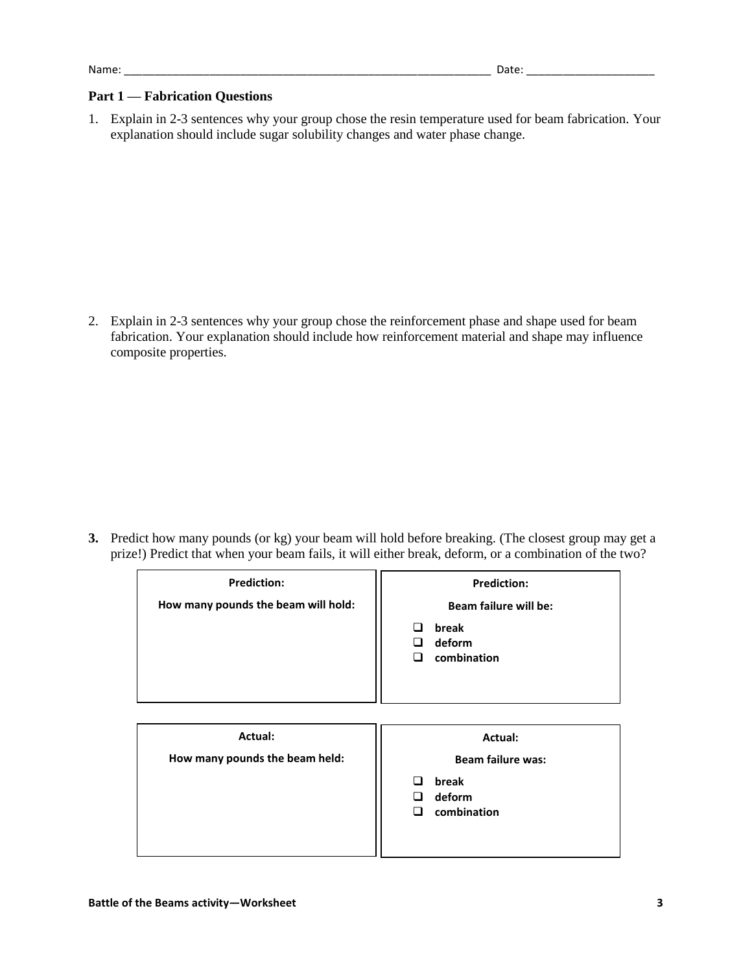#### **Part 1 — Fabrication Questions**

1. Explain in 2-3 sentences why your group chose the resin temperature used for beam fabrication. Your explanation should include sugar solubility changes and water phase change.

2. Explain in 2-3 sentences why your group chose the reinforcement phase and shape used for beam fabrication. Your explanation should include how reinforcement material and shape may influence composite properties.

**3.** Predict how many pounds (or kg) your beam will hold before breaking. (The closest group may get a prize!) Predict that when your beam fails, it will either break, deform, or a combination of the two?

| <b>Prediction:</b><br>How many pounds the beam will hold: | <b>Prediction:</b><br>Beam failure will be:<br>break<br>$\Box$<br>deform<br>◻<br>combination<br>◻ |
|-----------------------------------------------------------|---------------------------------------------------------------------------------------------------|
| Actual:<br>How many pounds the beam held:                 | Actual:<br><b>Beam failure was:</b><br>break<br>◻<br>deform<br>◻<br>combination<br>◻              |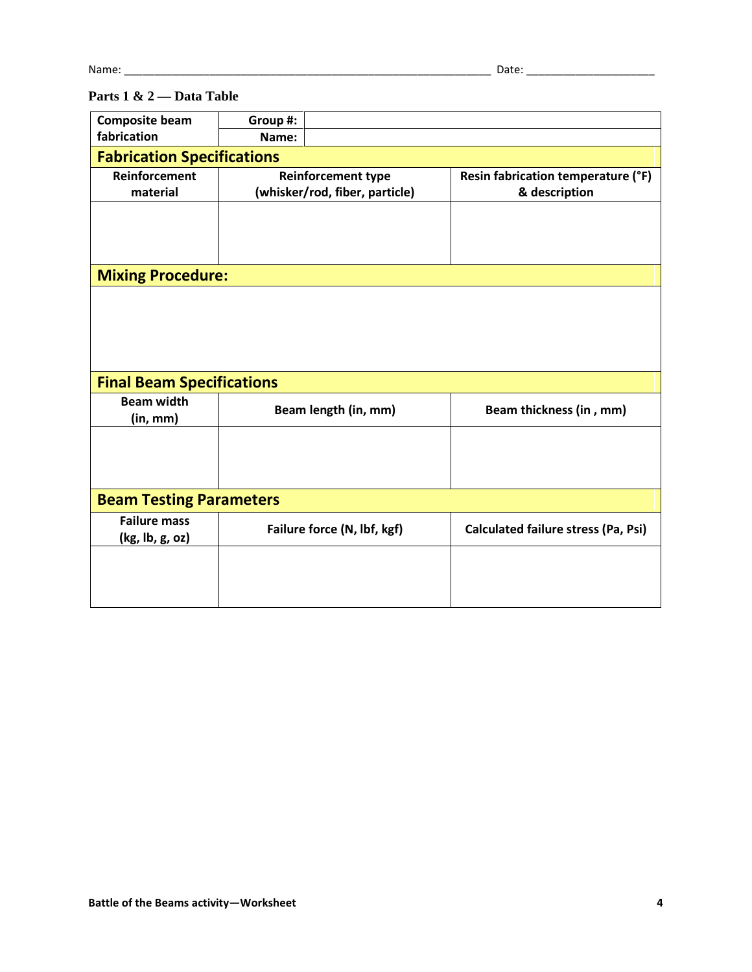# **Parts 1 & 2 — Data Table**

| <b>Composite beam</b>             | Group #:                       |  |                                            |  |
|-----------------------------------|--------------------------------|--|--------------------------------------------|--|
| fabrication                       | Name:                          |  |                                            |  |
| <b>Fabrication Specifications</b> |                                |  |                                            |  |
| Reinforcement                     | <b>Reinforcement type</b>      |  | Resin fabrication temperature (°F)         |  |
| material                          | (whisker/rod, fiber, particle) |  | & description                              |  |
|                                   |                                |  |                                            |  |
|                                   |                                |  |                                            |  |
|                                   |                                |  |                                            |  |
| <b>Mixing Procedure:</b>          |                                |  |                                            |  |
|                                   |                                |  |                                            |  |
|                                   |                                |  |                                            |  |
|                                   |                                |  |                                            |  |
|                                   |                                |  |                                            |  |
| <b>Final Beam Specifications</b>  |                                |  |                                            |  |
| <b>Beam width</b>                 | Beam length (in, mm)           |  |                                            |  |
| (in, mm)                          |                                |  | Beam thickness (in, mm)                    |  |
|                                   |                                |  |                                            |  |
|                                   |                                |  |                                            |  |
|                                   |                                |  |                                            |  |
| <b>Beam Testing Parameters</b>    |                                |  |                                            |  |
| <b>Failure mass</b>               | Failure force (N, lbf, kgf)    |  | <b>Calculated failure stress (Pa, Psi)</b> |  |
| (kg, lb, g, oz)                   |                                |  |                                            |  |
|                                   |                                |  |                                            |  |
|                                   |                                |  |                                            |  |
|                                   |                                |  |                                            |  |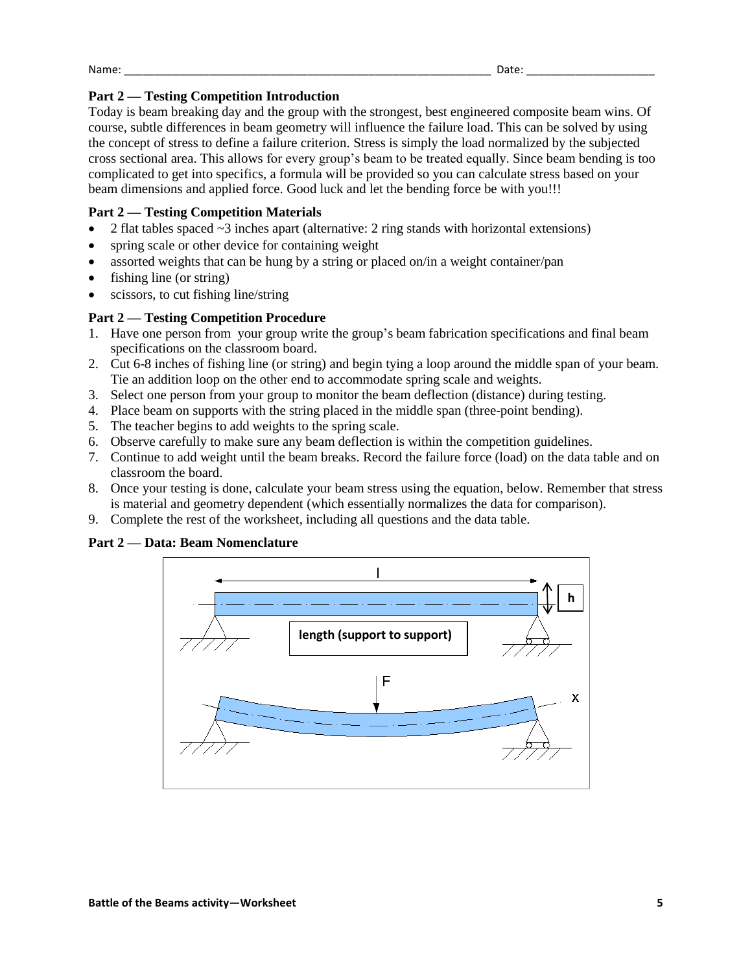Name: \_\_\_\_\_\_\_\_\_\_\_\_\_\_\_\_\_\_\_\_\_\_\_\_\_\_\_\_\_\_\_\_\_\_\_\_\_\_\_\_\_\_\_\_\_\_\_\_\_\_\_\_\_\_\_\_\_\_\_\_ Date: \_\_\_\_\_\_\_\_\_\_\_\_\_\_\_\_\_\_\_\_\_

# **Part 2 — Testing Competition Introduction**

Today is beam breaking day and the group with the strongest, best engineered composite beam wins. Of course, subtle differences in beam geometry will influence the failure load. This can be solved by using the concept of stress to define a failure criterion. Stress is simply the load normalized by the subjected cross sectional area. This allows for every group's beam to be treated equally. Since beam bending is too complicated to get into specifics, a formula will be provided so you can calculate stress based on your beam dimensions and applied force. Good luck and let the bending force be with you!!!

# **Part 2 — Testing Competition Materials**

- 2 flat tables spaced  $\sim$ 3 inches apart (alternative: 2 ring stands with horizontal extensions)
- spring scale or other device for containing weight
- assorted weights that can be hung by a string or placed on/in a weight container/pan
- fishing line (or string)
- scissors, to cut fishing line/string

# **Part 2 — Testing Competition Procedure**

- 1. Have one person from your group write the group's beam fabrication specifications and final beam specifications on the classroom board.
- 2. Cut 6-8 inches of fishing line (or string) and begin tying a loop around the middle span of your beam. Tie an addition loop on the other end to accommodate spring scale and weights.
- 3. Select one person from your group to monitor the beam deflection (distance) during testing.
- 4. Place beam on supports with the string placed in the middle span (three-point bending).
- 5. The teacher begins to add weights to the spring scale.
- 6. Observe carefully to make sure any beam deflection is within the competition guidelines.
- 7. Continue to add weight until the beam breaks. Record the failure force (load) on the data table and on classroom the board.
- 8. Once your testing is done, calculate your beam stress using the equation, below. Remember that stress is material and geometry dependent (which essentially normalizes the data for comparison).
- 9. Complete the rest of the worksheet, including all questions and the data table.

#### **Part 2 — Data: Beam Nomenclature**